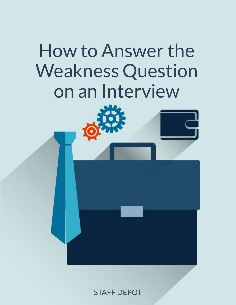# How to Answer the Weakness Question on an Interview

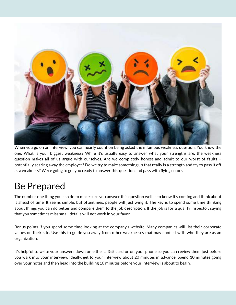

When you go on an interview, you can nearly count on being asked the infamous weakness question. You know the one. What is your biggest weakness? While it's usually easy to answer what your strengths are, the weakness question makes all of us argue with ourselves. Are we completely honest and admit to our worst of faults – potentially scaring away the employer? Do we try to make something up that really is a strength and try to pass it off as a weakness? We're going to get you ready to answer this question and pass with flying colors.

#### Be Prepared

The number one thing you can do to make sure you answer this question well is to know it's coming and think about it ahead of time. It seems simple, but oftentimes, people will just wing it. The key is to spend some time thinking about things you can do better and compare them to the job description. If the job is for a quality inspector, saying that you sometimes miss small details will not work in your favor.

Bonus points if you spend some time looking at the company's website. Many companies will list their corporate values on their site. Use this to guide you away from other weaknesses that may conflict with who they are as an organization.

It's helpful to write your answers down on either a 3×5 card or on your phone so you can review them just before you walk into your interview. Ideally, get to your interview about 20 minutes in advance. Spend 10 minutes going over your notes and then head into the building 10 minutes before your interview is about to begin.